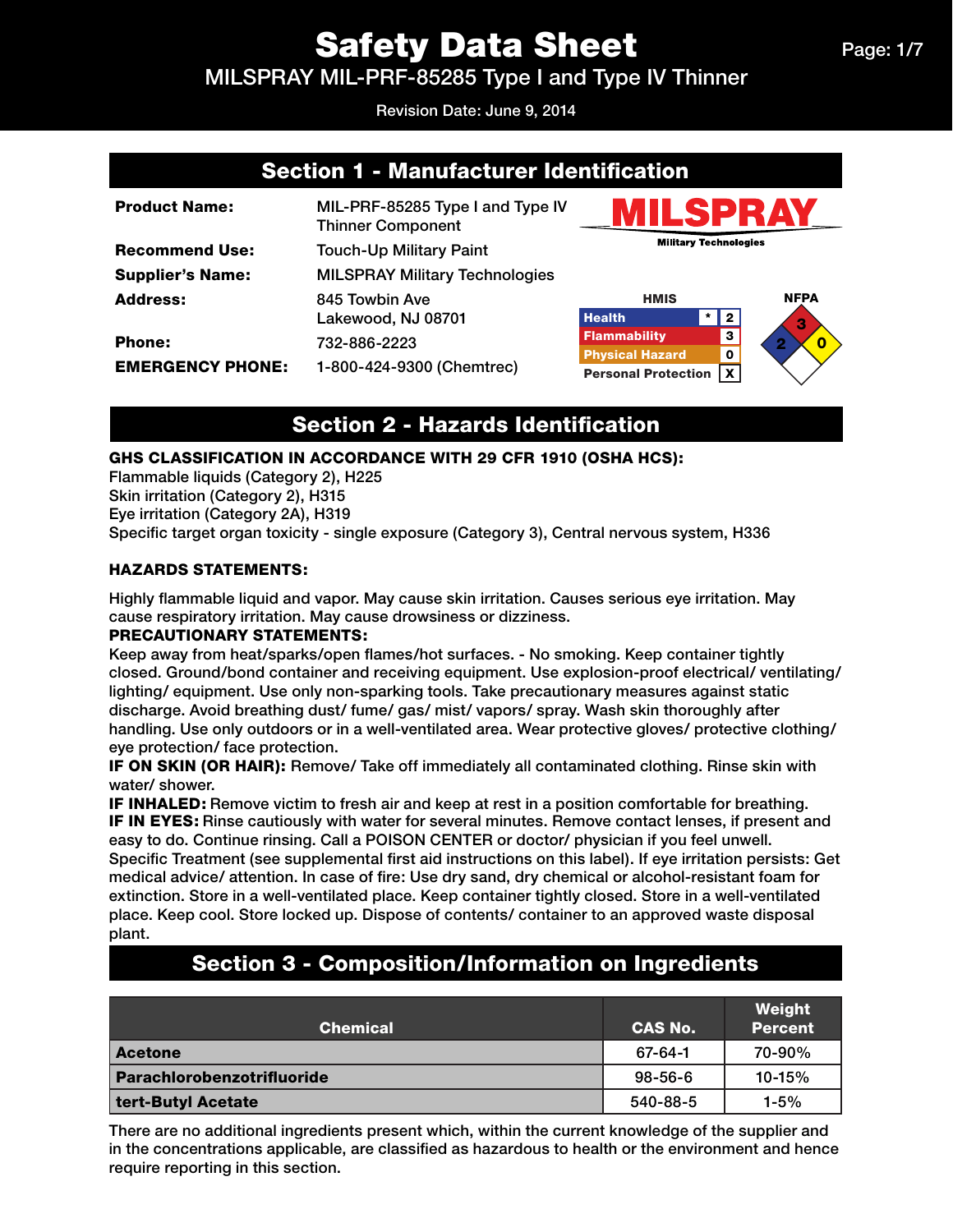MILSPRAY MIL-PRF-85285 Type I and Type IV Thinner

Revision Date: June 9, 2014

| <b>Section 1 - Manufacturer Identification</b>       |                                                              |                              |              |             |  |  |  |
|------------------------------------------------------|--------------------------------------------------------------|------------------------------|--------------|-------------|--|--|--|
| <b>Product Name:</b>                                 | MIL-PRF-85285 Type I and Type IV<br><b>Thinner Component</b> | LSPRAY                       |              |             |  |  |  |
| <b>Recommend Use:</b>                                | <b>Touch-Up Military Paint</b>                               | <b>Military Technologies</b> |              |             |  |  |  |
| <b>Supplier's Name:</b>                              | <b>MILSPRAY Military Technologies</b>                        |                              |              |             |  |  |  |
| <b>Address:</b>                                      | 845 Towbin Ave                                               | <b>HMIS</b>                  |              | <b>NFPA</b> |  |  |  |
|                                                      | Lakewood, NJ 08701                                           | <b>Health</b><br>$\star$     | l 2          | 3           |  |  |  |
| <b>Phone:</b>                                        | 732-886-2223                                                 | <b>Flammability</b>          | 3            | O           |  |  |  |
|                                                      |                                                              | <b>Physical Hazard</b>       | $\mathbf{o}$ |             |  |  |  |
| 1-800-424-9300 (Chemtrec)<br><b>EMERGENCY PHONE:</b> |                                                              | <b>Personal Protection</b>   | X            |             |  |  |  |

## Section 2 - Hazards Identification

### GHS CLASSIFICATION IN ACCORDANCE WITH 29 CFR 1910 (OSHA HCS):

Flammable liquids (Category 2), H225 Skin irritation (Category 2), H315 Eye irritation (Category 2A), H319

Specific target organ toxicity - single exposure (Category 3), Central nervous system, H336

### HAZARDS STATEMENTS:

Highly flammable liquid and vapor. May cause skin irritation. Causes serious eye irritation. May cause respiratory irritation. May cause drowsiness or dizziness.

#### PRECAUTIONARY STATEMENTS:

Keep away from heat/sparks/open flames/hot surfaces. - No smoking. Keep container tightly closed. Ground/bond container and receiving equipment. Use explosion-proof electrical/ ventilating/ lighting/ equipment. Use only non-sparking tools. Take precautionary measures against static discharge. Avoid breathing dust/ fume/ gas/ mist/ vapors/ spray. Wash skin thoroughly after handling. Use only outdoors or in a well-ventilated area. Wear protective gloves/ protective clothing/ eye protection/ face protection.

IF ON SKIN (OR HAIR): Remove/ Take off immediately all contaminated clothing. Rinse skin with water/ shower.

IF INHALED: Remove victim to fresh air and keep at rest in a position comfortable for breathing. IF IN EYES: Rinse cautiously with water for several minutes. Remove contact lenses, if present and easy to do. Continue rinsing. Call a POISON CENTER or doctor/ physician if you feel unwell.

Specific Treatment (see supplemental first aid instructions on this label). If eye irritation persists: Get medical advice/ attention. In case of fire: Use dry sand, dry chemical or alcohol-resistant foam for extinction. Store in a well-ventilated place. Keep container tightly closed. Store in a well-ventilated place. Keep cool. Store locked up. Dispose of contents/ container to an approved waste disposal plant.

## Section 3 - Composition/Information on Ingredients

| <b>Chemical</b>                   | <b>CAS No.</b> | Weight<br><b>Percent</b> |
|-----------------------------------|----------------|--------------------------|
| <b>Acetone</b>                    | 67-64-1        | 70-90%                   |
| <b>Parachlorobenzotrifluoride</b> | $98 - 56 - 6$  | 10-15%                   |
| tert-Butyl Acetate                | 540-88-5       | $1 - 5%$                 |

There are no additional ingredients present which, within the current knowledge of the supplier and in the concentrations applicable, are classified as hazardous to health or the environment and hence require reporting in this section.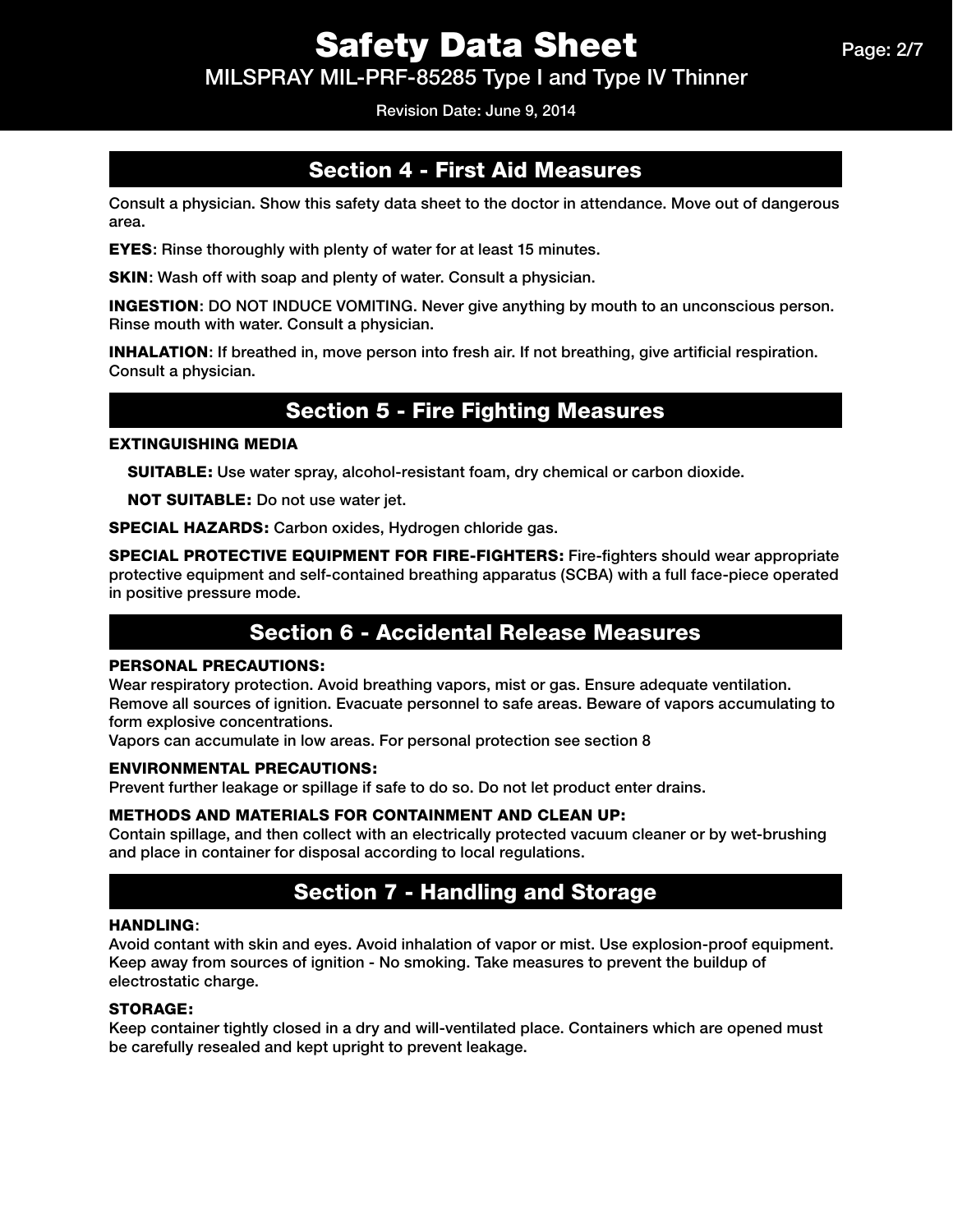MILSPRAY MIL-PRF-85285 Type I and Type IV Thinner

Revision Date: June 9, 2014

## Section 4 - First Aid Measures

Consult a physician. Show this safety data sheet to the doctor in attendance. Move out of dangerous area.

EYES: Rinse thoroughly with plenty of water for at least 15 minutes.

**SKIN:** Wash off with soap and plenty of water. Consult a physician.

INGESTION: DO NOT INDUCE VOMITING. Never give anything by mouth to an unconscious person. Rinse mouth with water. Consult a physician.

INHALATION: If breathed in, move person into fresh air. If not breathing, give artificial respiration. Consult a physician.

## Section 5 - Fire Fighting Measures

#### EXTINGUISHING MEDIA

SUITABLE: Use water spray, alcohol-resistant foam, dry chemical or carbon dioxide.

NOT SUITABLE: Do not use water jet.

SPECIAL HAZARDS: Carbon oxides, Hydrogen chloride gas.

SPECIAL PROTECTIVE EQUIPMENT FOR FIRE-FIGHTERS: Fire-fighters should wear appropriate protective equipment and self-contained breathing apparatus (SCBA) with a full face-piece operated in positive pressure mode.

## Section 6 - Accidental Release Measures

#### PERSONAL PRECAUTIONS:

Wear respiratory protection. Avoid breathing vapors, mist or gas. Ensure adequate ventilation. Remove all sources of ignition. Evacuate personnel to safe areas. Beware of vapors accumulating to form explosive concentrations.

Vapors can accumulate in low areas. For personal protection see section 8

#### ENVIRONMENTAL PRECAUTIONS:

Prevent further leakage or spillage if safe to do so. Do not let product enter drains.

#### METHODS AND MATERIALS FOR CONTAINMENT AND CLEAN UP:

Contain spillage, and then collect with an electrically protected vacuum cleaner or by wet-brushing and place in container for disposal according to local regulations.

## Section 7 - Handling and Storage

#### HANDLING:

Avoid contant with skin and eyes. Avoid inhalation of vapor or mist. Use explosion-proof equipment. Keep away from sources of ignition - No smoking. Take measures to prevent the buildup of electrostatic charge.

#### STORAGE:

Keep container tightly closed in a dry and will-ventilated place. Containers which are opened must be carefully resealed and kept upright to prevent leakage.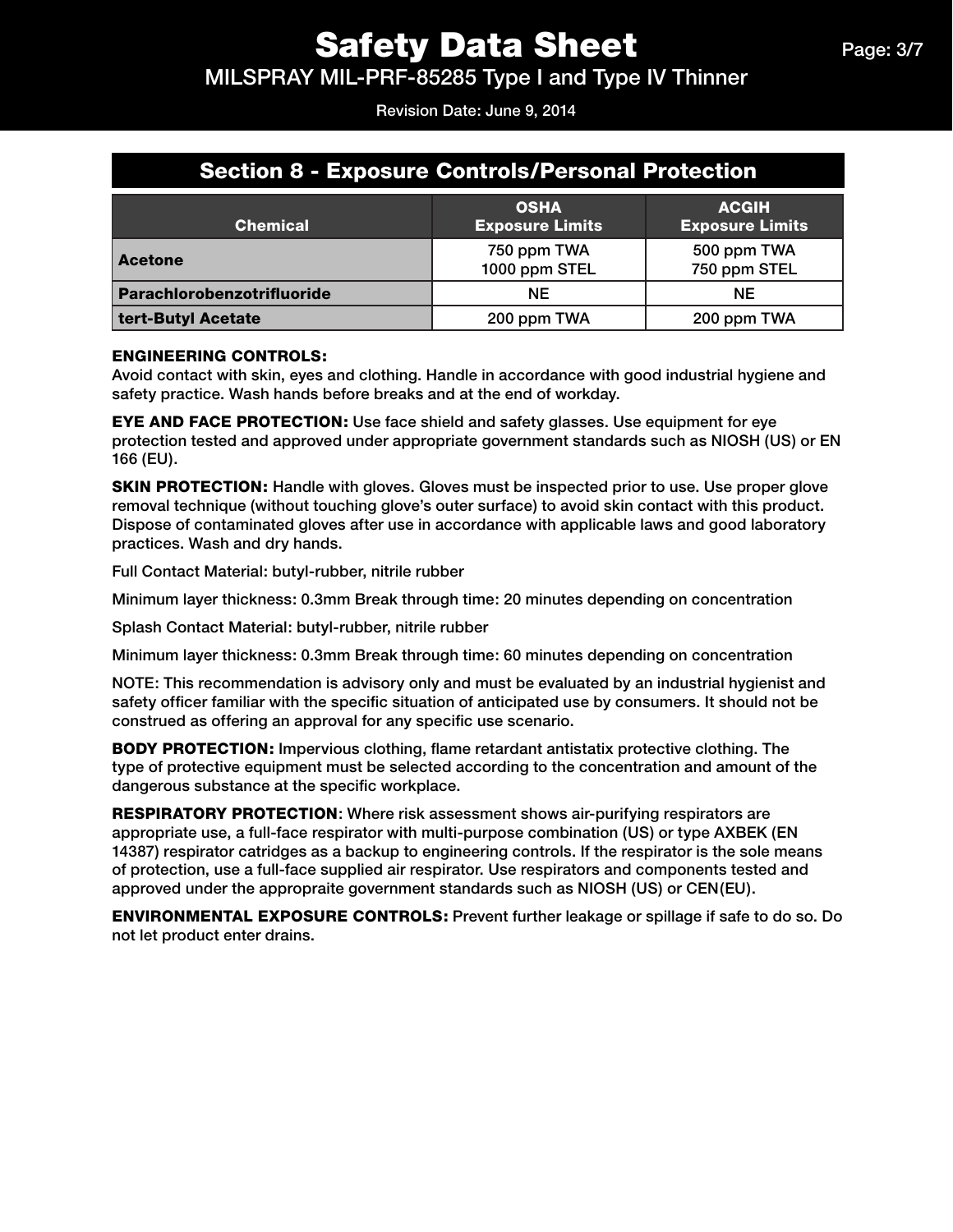Revision Date: June 9, 2014

| <b>Section 8 - Exposure Controls/Personal Protection</b> |                                       |                                        |  |  |  |  |
|----------------------------------------------------------|---------------------------------------|----------------------------------------|--|--|--|--|
| <b>Chemical</b>                                          | <b>OSHA</b><br><b>Exposure Limits</b> | <b>ACGIH</b><br><b>Exposure Limits</b> |  |  |  |  |
| <b>Acetone</b>                                           | 750 ppm TWA<br>1000 ppm STEL          | 500 ppm TWA<br>750 ppm STEL            |  |  |  |  |
| Parachlorobenzotrifluoride                               | NE.                                   | NE                                     |  |  |  |  |
| tert-Butyl Acetate                                       | 200 ppm TWA                           | 200 ppm TWA                            |  |  |  |  |

#### ENGINEERING CONTROLS:

Avoid contact with skin, eyes and clothing. Handle in accordance with good industrial hygiene and safety practice. Wash hands before breaks and at the end of workday.

EYE AND FACE PROTECTION: Use face shield and safety glasses. Use equipment for eye protection tested and approved under appropriate government standards such as NIOSH (US) or EN 166 (EU).

**SKIN PROTECTION:** Handle with gloves. Gloves must be inspected prior to use. Use proper glove removal technique (without touching glove's outer surface) to avoid skin contact with this product. Dispose of contaminated gloves after use in accordance with applicable laws and good laboratory practices. Wash and dry hands.

Full Contact Material: butyl-rubber, nitrile rubber

Minimum layer thickness: 0.3mm Break through time: 20 minutes depending on concentration

Splash Contact Material: butyl-rubber, nitrile rubber

Minimum layer thickness: 0.3mm Break through time: 60 minutes depending on concentration

NOTE: This recommendation is advisory only and must be evaluated by an industrial hygienist and safety officer familiar with the specific situation of anticipated use by consumers. It should not be construed as offering an approval for any specific use scenario.

BODY PROTECTION: Impervious clothing, flame retardant antistatix protective clothing. The type of protective equipment must be selected according to the concentration and amount of the dangerous substance at the specific workplace.

RESPIRATORY PROTECTION: Where risk assessment shows air-purifying respirators are appropriate use, a full-face respirator with multi-purpose combination (US) or type AXBEK (EN 14387) respirator catridges as a backup to engineering controls. If the respirator is the sole means of protection, use a full-face supplied air respirator. Use respirators and components tested and approved under the appropraite government standards such as NIOSH (US) or CEN(EU).

ENVIRONMENTAL EXPOSURE CONTROLS: Prevent further leakage or spillage if safe to do so. Do not let product enter drains.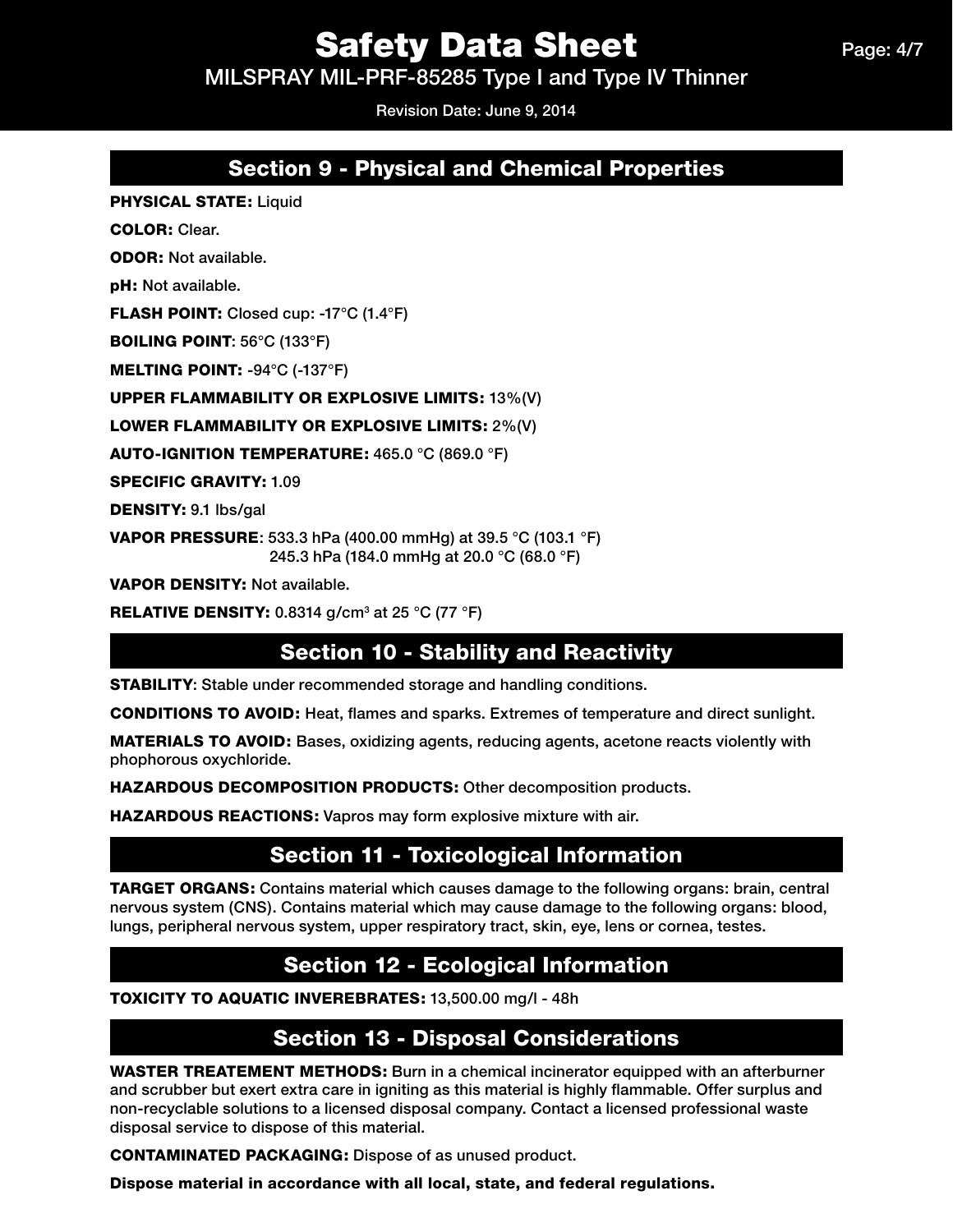# Safety Data Sheet

MILSPRAY MIL-PRF-85285 Type I and Type IV Thinner

Revision Date: June 9, 2014

## Section 9 - Physical and Chemical Properties

PHYSICAL STATE: Liquid

COLOR: Clear.

ODOR: Not available.

pH: Not available.

FLASH POINT: Closed cup: -17°C (1.4°F)

BOILING POINT: 56°C (133°F)

MELTING POINT: -94°C (-137°F)

UPPER FLAMMABILITY OR EXPLOSIVE LIMITS: 13%(V)

LOWER FLAMMABILITY OR EXPLOSIVE LIMITS: 2%(V)

AUTO-IGNITION TEMPERATURE: 465.0 °C (869.0 °F)

SPECIFIC GRAVITY: 1.09

DENSITY: 9.1 lbs/gal

VAPOR PRESSURE: 533.3 hPa (400.00 mmHg) at 39.5 °C (103.1 °F) 245.3 hPa (184.0 mmHg at 20.0 °C (68.0 °F)

VAPOR DENSITY: Not available.

**RELATIVE DENSITY:** 0.8314 g/cm<sup>3</sup> at 25 °C (77 °F)

## Section 10 - Stability and Reactivity

STABILITY: Stable under recommended storage and handling conditions.

CONDITIONS TO AVOID: Heat, flames and sparks. Extremes of temperature and direct sunlight.

MATERIALS TO AVOID: Bases, oxidizing agents, reducing agents, acetone reacts violently with phophorous oxychloride.

HAZARDOUS DECOMPOSITION PRODUCTS: Other decomposition products.

HAZARDOUS REACTIONS: Vapros may form explosive mixture with air.

## Section 11 - Toxicological Information

TARGET ORGANS: Contains material which causes damage to the following organs: brain, central nervous system (CNS). Contains material which may cause damage to the following organs: blood, lungs, peripheral nervous system, upper respiratory tract, skin, eye, lens or cornea, testes.

## Section 12 - Ecological Information

TOXICITY TO AQUATIC INVEREBRATES: 13,500.00 mg/l - 48h

## Section 13 - Disposal Considerations

WASTER TREATEMENT METHODS: Burn in a chemical incinerator equipped with an afterburner and scrubber but exert extra care in igniting as this material is highly flammable. Offer surplus and non-recyclable solutions to a licensed disposal company. Contact a licensed professional waste disposal service to dispose of this material.

CONTAMINATED PACKAGING: Dispose of as unused product.

Dispose material in accordance with all local, state, and federal regulations.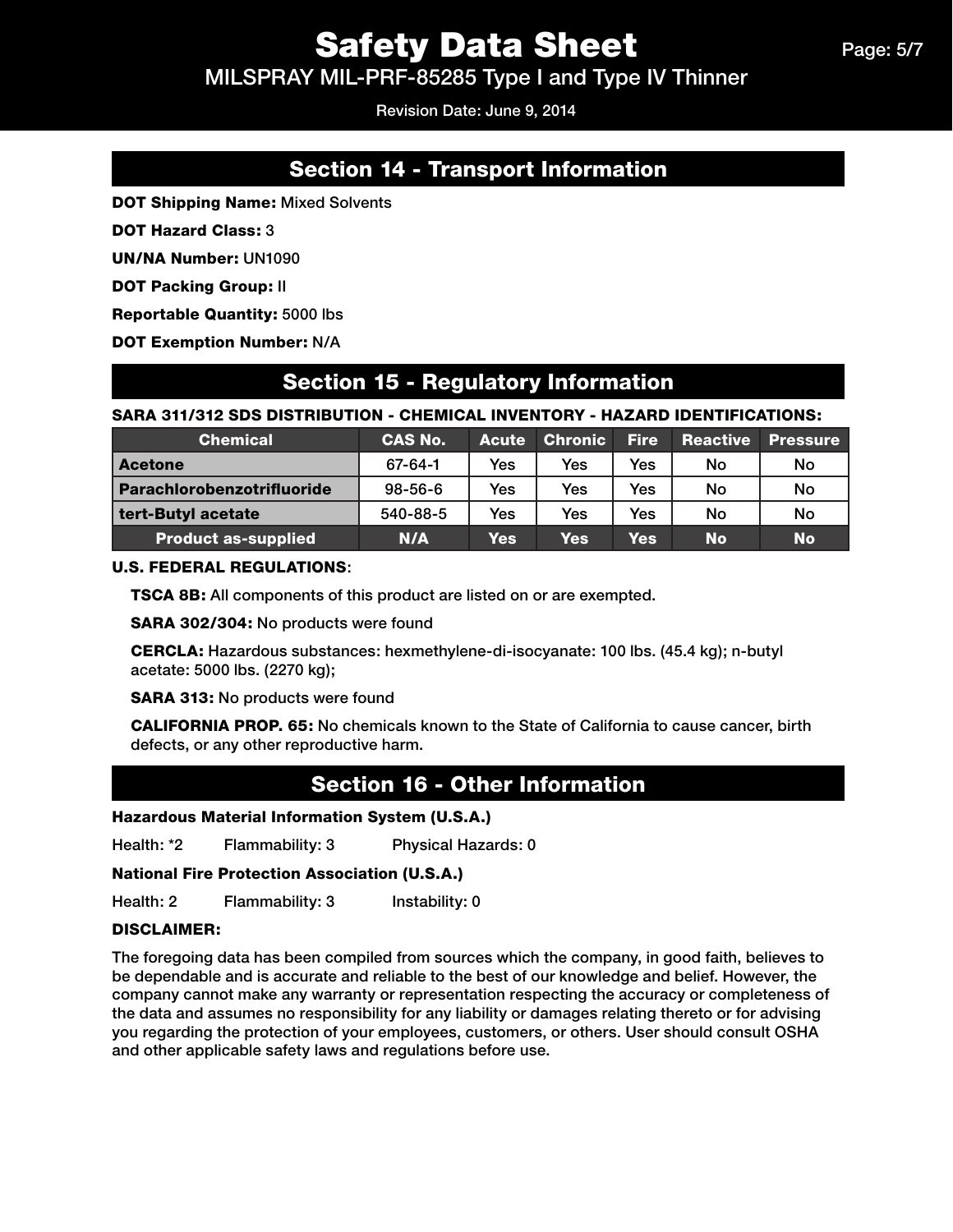# Safety Data Sheet

MILSPRAY MIL-PRF-85285 Type I and Type IV Thinner

Revision Date: June 9, 2014

## Section 14 - Transport Information

DOT Shipping Name: Mixed Solvents

DOT Hazard Class: 3

UN/NA Number: UN1090

DOT Packing Group: II

Reportable Quantity: 5000 lbs

DOT Exemption Number: N/A

## Section 15 - Regulatory Information

### SARA 311/312 SDS DISTRIBUTION - CHEMICAL INVENTORY - HAZARD IDENTIFICATIONS:

| <b>Chemical</b>            | <b>CAS No.</b> | <b>Acute</b> | <b>Chronic</b> | <b>Fire</b> | <b>Reactive</b> | <b>Pressure</b> |
|----------------------------|----------------|--------------|----------------|-------------|-----------------|-----------------|
| <b>Acetone</b>             | 67-64-1        | <b>Yes</b>   | Yes            | Yes         | No              | No              |
| Parachlorobenzotrifluoride | $98 - 56 - 6$  | Yes          | Yes            | Yes         | No              | No              |
| tert-Butyl acetate         | 540-88-5       | Yes          | Yes            | Yes         | No              | No              |
| <b>Product as-supplied</b> | N/A            | <b>Yes</b>   | Yes            | <b>Yes</b>  | <b>No</b>       | <b>No</b>       |

#### U.S. FEDERAL REGULATIONS:

TSCA 8B: All components of this product are listed on or are exempted.

SARA 302/304: No products were found

CERCLA: Hazardous substances: hexmethylene-di-isocyanate: 100 lbs. (45.4 kg); n-butyl acetate: 5000 lbs. (2270 kg);

SARA 313: No products were found

CALIFORNIA PROP. 65: No chemicals known to the State of California to cause cancer, birth defects, or any other reproductive harm.

## Section 16 - Other Information

#### Hazardous Material Information System (U.S.A.)

Health: \*2 Flammability: 3 Physical Hazards: 0

#### National Fire Protection Association (U.S.A.)

Health: 2 Flammability: 3 Instability: 0

#### DISCLAIMER:

The foregoing data has been compiled from sources which the company, in good faith, believes to be dependable and is accurate and reliable to the best of our knowledge and belief. However, the company cannot make any warranty or representation respecting the accuracy or completeness of the data and assumes no responsibility for any liability or damages relating thereto or for advising you regarding the protection of your employees, customers, or others. User should consult OSHA and other applicable safety laws and regulations before use.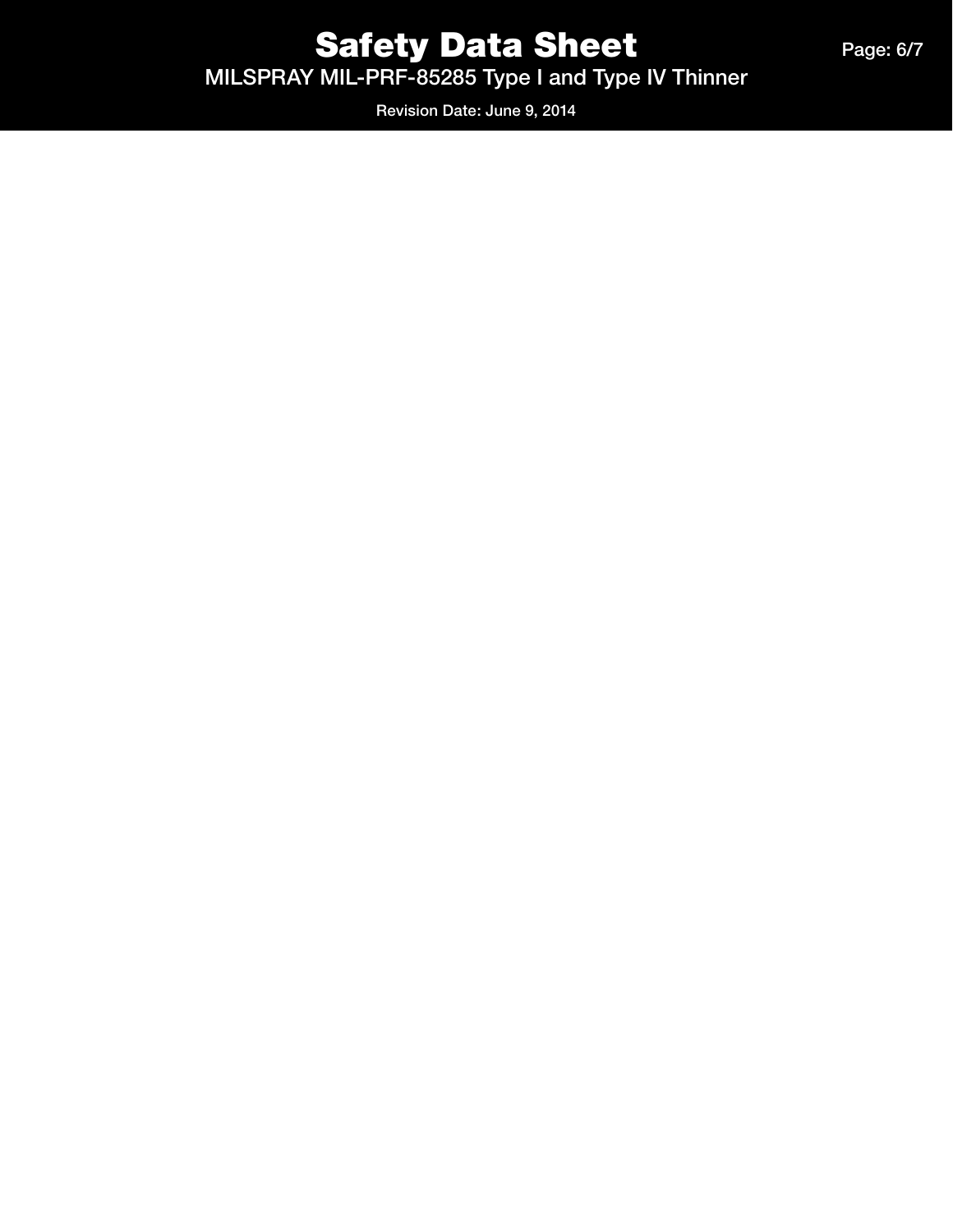## Page: 6/7

# Safety Data Sheet

MILSPRAY MIL-PRF-85285 Type I and Type IV Thinner

Revision Date: June 9, 2014